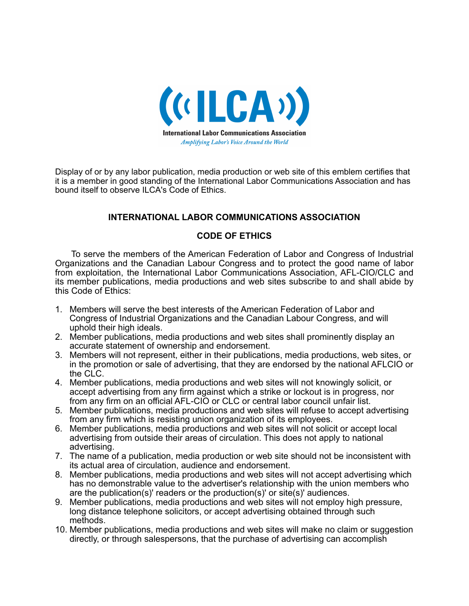

Display of or by any labor publication, media production or web site of this emblem certifies that it is a member in good standing of the International Labor Communications Association and has bound itself to observe ILCA's Code of Ethics.

## **INTERNATIONAL LABOR COMMUNICATIONS ASSOCIATION**

## **CODE OF ETHICS**

To serve the members of the American Federation of Labor and Congress of Industrial Organizations and the Canadian Labour Congress and to protect the good name of labor from exploitation, the International Labor Communications Association, AFL-CIO/CLC and its member publications, media productions and web sites subscribe to and shall abide by this Code of Ethics:

- 1. Members will serve the best interests of the American Federation of Labor and Congress of Industrial Organizations and the Canadian Labour Congress, and will uphold their high ideals.
- 2. Member publications, media productions and web sites shall prominently display an accurate statement of ownership and endorsement.
- 3. Members will not represent, either in their publications, media productions, web sites, or in the promotion or sale of advertising, that they are endorsed by the national AFLCIO or the CLC.
- 4. Member publications, media productions and web sites will not knowingly solicit, or accept advertising from any firm against which a strike or lockout is in progress, nor from any firm on an official AFL-CIO or CLC or central labor council unfair list.
- 5. Member publications, media productions and web sites will refuse to accept advertising from any firm which is resisting union organization of its employees.
- 6. Member publications, media productions and web sites will not solicit or accept local advertising from outside their areas of circulation. This does not apply to national advertising.
- 7. The name of a publication, media production or web site should not be inconsistent with its actual area of circulation, audience and endorsement.
- 8. Member publications, media productions and web sites will not accept advertising which has no demonstrable value to the advertiser's relationship with the union members who are the publication(s)' readers or the production(s)' or site(s)' audiences.
- 9. Member publications, media productions and web sites will not employ high pressure, long distance telephone solicitors, or accept advertising obtained through such methods.
- 10. Member publications, media productions and web sites will make no claim or suggestion directly, or through salespersons, that the purchase of advertising can accomplish